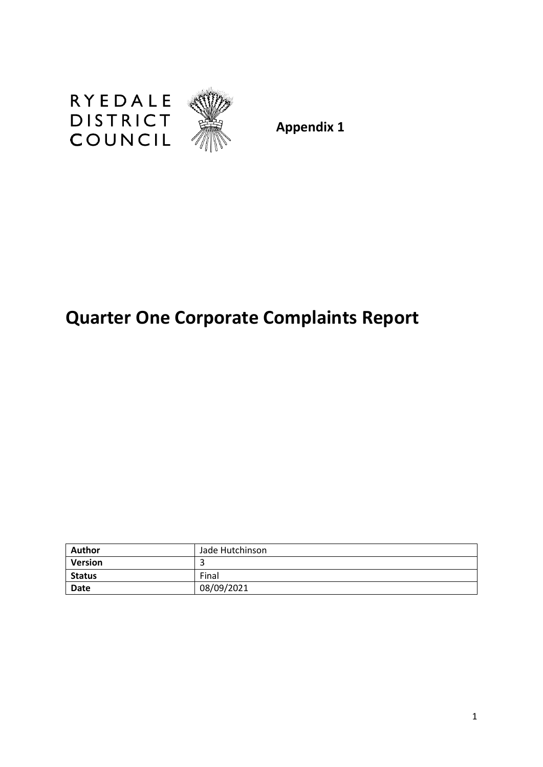

**Appendix 1**

# **Quarter One Corporate Complaints Report**

| <b>Author</b> | Jade Hutchinson |
|---------------|-----------------|
| Version       |                 |
| <b>Status</b> | Final           |
| Date          | 08/09/2021      |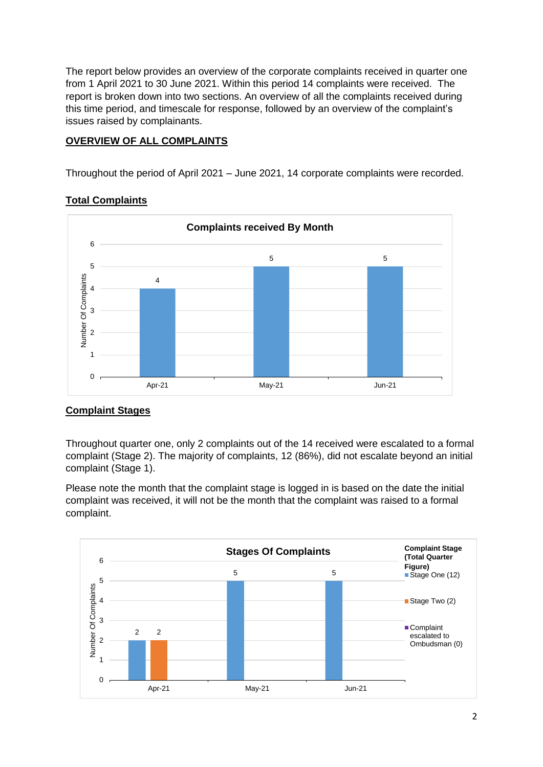The report below provides an overview of the corporate complaints received in quarter one from 1 April 2021 to 30 June 2021. Within this period 14 complaints were received. The report is broken down into two sections. An overview of all the complaints received during this time period, and timescale for response, followed by an overview of the complaint's issues raised by complainants.

## **OVERVIEW OF ALL COMPLAINTS**

Throughout the period of April 2021 – June 2021, 14 corporate complaints were recorded.

#### **Total Complaints**



## **Complaint Stages**

Throughout quarter one, only 2 complaints out of the 14 received were escalated to a formal complaint (Stage 2). The majority of complaints, 12 (86%), did not escalate beyond an initial complaint (Stage 1).

Please note the month that the complaint stage is logged in is based on the date the initial complaint was received, it will not be the month that the complaint was raised to a formal complaint.

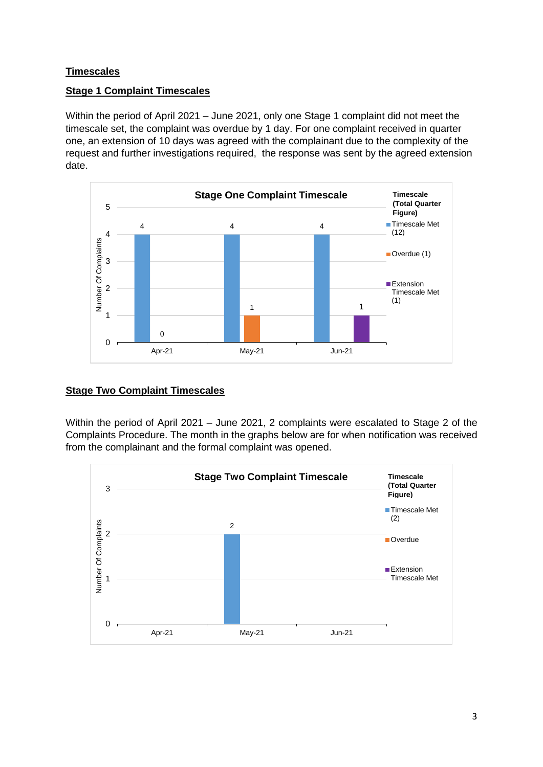## **Timescales**

## **Stage 1 Complaint Timescales**

Within the period of April 2021 – June 2021, only one Stage 1 complaint did not meet the timescale set, the complaint was overdue by 1 day. For one complaint received in quarter one, an extension of 10 days was agreed with the complainant due to the complexity of the request and further investigations required, the response was sent by the agreed extension date.



## **Stage Two Complaint Timescales**

Within the period of April 2021 – June 2021, 2 complaints were escalated to Stage 2 of the Complaints Procedure. The month in the graphs below are for when notification was received from the complainant and the formal complaint was opened.

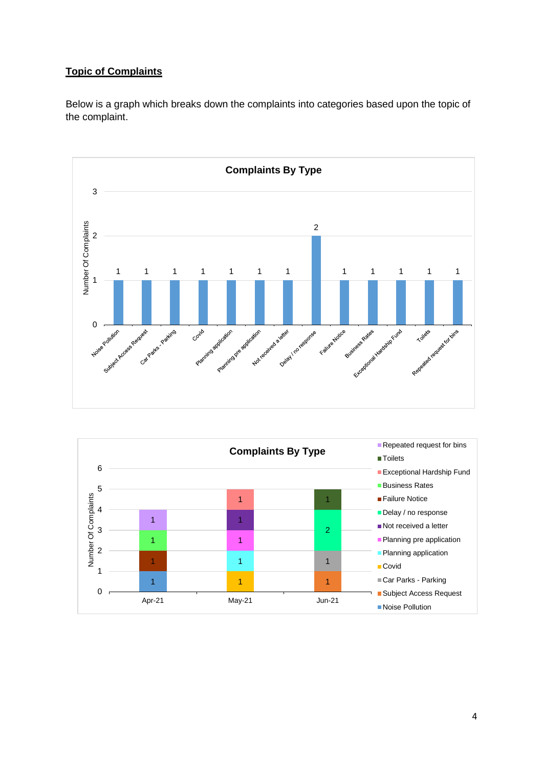## **Topic of Complaints**

Below is a graph which breaks down the complaints into categories based upon the topic of the complaint.



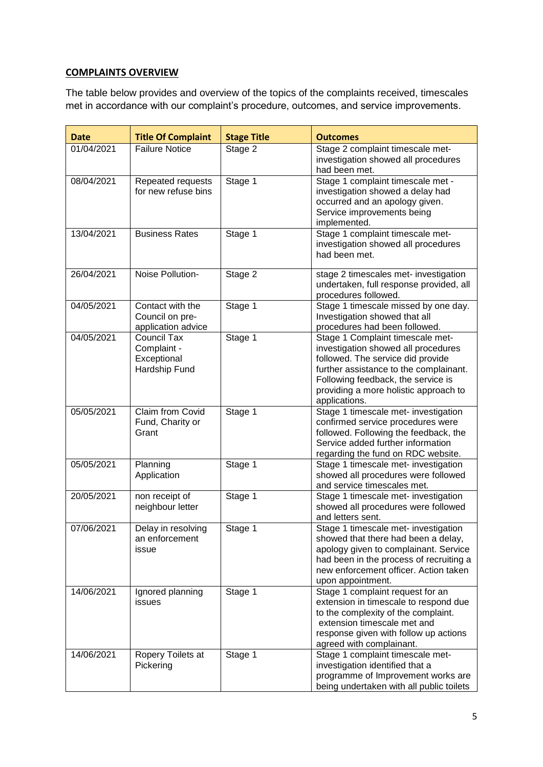## **COMPLAINTS OVERVIEW**

The table below provides and overview of the topics of the complaints received, timescales met in accordance with our complaint's procedure, outcomes, and service improvements.

| <b>Date</b> | <b>Title Of Complaint</b>                                         | <b>Stage Title</b> | <b>Outcomes</b>                                                                                                                                                                                                                                        |
|-------------|-------------------------------------------------------------------|--------------------|--------------------------------------------------------------------------------------------------------------------------------------------------------------------------------------------------------------------------------------------------------|
| 01/04/2021  | <b>Failure Notice</b>                                             | Stage 2            | Stage 2 complaint timescale met-<br>investigation showed all procedures<br>had been met.                                                                                                                                                               |
| 08/04/2021  | Repeated requests<br>for new refuse bins                          | Stage 1            | Stage 1 complaint timescale met -<br>investigation showed a delay had<br>occurred and an apology given.<br>Service improvements being<br>implemented.                                                                                                  |
| 13/04/2021  | <b>Business Rates</b>                                             | Stage 1            | Stage 1 complaint timescale met-<br>investigation showed all procedures<br>had been met.                                                                                                                                                               |
| 26/04/2021  | Noise Pollution-                                                  | Stage 2            | stage 2 timescales met- investigation<br>undertaken, full response provided, all<br>procedures followed.                                                                                                                                               |
| 04/05/2021  | Contact with the<br>Council on pre-<br>application advice         | Stage 1            | Stage 1 timescale missed by one day.<br>Investigation showed that all<br>procedures had been followed.                                                                                                                                                 |
| 04/05/2021  | <b>Council Tax</b><br>Complaint -<br>Exceptional<br>Hardship Fund | Stage 1            | Stage 1 Complaint timescale met-<br>investigation showed all procedures<br>followed. The service did provide<br>further assistance to the complainant.<br>Following feedback, the service is<br>providing a more holistic approach to<br>applications. |
| 05/05/2021  | Claim from Covid<br>Fund, Charity or<br>Grant                     | Stage 1            | Stage 1 timescale met- investigation<br>confirmed service procedures were<br>followed. Following the feedback, the<br>Service added further information<br>regarding the fund on RDC website.                                                          |
| 05/05/2021  | Planning<br>Application                                           | Stage 1            | Stage 1 timescale met- investigation<br>showed all procedures were followed<br>and service timescales met.                                                                                                                                             |
| 20/05/2021  | non receipt of<br>neighbour letter                                | Stage 1            | Stage 1 timescale met- investigation<br>showed all procedures were followed<br>and letters sent.                                                                                                                                                       |
| 07/06/2021  | Delay in resolving<br>an enforcement<br>issue                     | Stage 1            | Stage 1 timescale met- investigation<br>showed that there had been a delay,<br>apology given to complainant. Service<br>had been in the process of recruiting a<br>new enforcement officer. Action taken<br>upon appointment.                          |
| 14/06/2021  | Ignored planning<br>issues                                        | Stage 1            | Stage 1 complaint request for an<br>extension in timescale to respond due<br>to the complexity of the complaint.<br>extension timescale met and<br>response given with follow up actions<br>agreed with complainant.                                   |
| 14/06/2021  | Ropery Toilets at<br>Pickering                                    | Stage 1            | Stage 1 complaint timescale met-<br>investigation identified that a<br>programme of Improvement works are<br>being undertaken with all public toilets                                                                                                  |